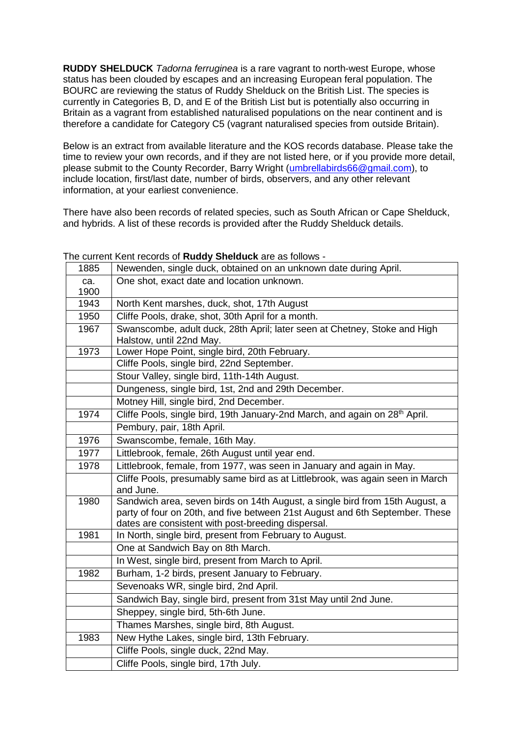**RUDDY SHELDUCK** *Tadorna ferruginea* is a rare vagrant to north-west Europe, whose status has been clouded by escapes and an increasing European feral population. The BOURC are reviewing the status of Ruddy Shelduck on the British List. The species is currently in Categories B, D, and E of the British List but is potentially also occurring in Britain as a vagrant from established naturalised populations on the near continent and is therefore a candidate for Category C5 (vagrant naturalised species from outside Britain).

Below is an extract from available literature and the KOS records database. Please take the time to review your own records, and if they are not listed here, or if you provide more detail, please submit to the County Recorder, Barry Wright [\(umbrellabirds66@gmail.com\)](mailto:umbrellabirds66@gmail.com), to include location, first/last date, number of birds, observers, and any other relevant information, at your earliest convenience.

There have also been records of related species, such as South African or Cape Shelduck, and hybrids. A list of these records is provided after the Ruddy Shelduck details.

|      | crooted of <b>ready offeradely</b> and adjointing                                                             |
|------|---------------------------------------------------------------------------------------------------------------|
| 1885 | Newenden, single duck, obtained on an unknown date during April.                                              |
| ca.  | One shot, exact date and location unknown.                                                                    |
| 1900 |                                                                                                               |
| 1943 | North Kent marshes, duck, shot, 17th August                                                                   |
| 1950 | Cliffe Pools, drake, shot, 30th April for a month.                                                            |
| 1967 | Swanscombe, adult duck, 28th April; later seen at Chetney, Stoke and High<br>Halstow, until 22nd May.         |
| 1973 | Lower Hope Point, single bird, 20th February.                                                                 |
|      | Cliffe Pools, single bird, 22nd September.                                                                    |
|      | Stour Valley, single bird, 11th-14th August.                                                                  |
|      | Dungeness, single bird, 1st, 2nd and 29th December.                                                           |
|      | Motney Hill, single bird, 2nd December.                                                                       |
| 1974 | Cliffe Pools, single bird, 19th January-2nd March, and again on 28 <sup>th</sup> April.                       |
|      | Pembury, pair, 18th April.                                                                                    |
| 1976 | Swanscombe, female, 16th May.                                                                                 |
| 1977 | Littlebrook, female, 26th August until year end.                                                              |
| 1978 | Littlebrook, female, from 1977, was seen in January and again in May.                                         |
|      | Cliffe Pools, presumably same bird as at Littlebrook, was again seen in March                                 |
|      | and June.                                                                                                     |
| 1980 | Sandwich area, seven birds on 14th August, a single bird from 15th August, a                                  |
|      | party of four on 20th, and five between 21st August and 6th September. These                                  |
| 1981 | dates are consistent with post-breeding dispersal.<br>In North, single bird, present from February to August. |
|      |                                                                                                               |
|      | One at Sandwich Bay on 8th March.                                                                             |
|      | In West, single bird, present from March to April.                                                            |
| 1982 | Burham, 1-2 birds, present January to February.                                                               |
|      | Sevenoaks WR, single bird, 2nd April.                                                                         |
|      | Sandwich Bay, single bird, present from 31st May until 2nd June.                                              |
|      | Sheppey, single bird, 5th-6th June.                                                                           |
|      | Thames Marshes, single bird, 8th August.                                                                      |
| 1983 | New Hythe Lakes, single bird, 13th February.                                                                  |
|      | Cliffe Pools, single duck, 22nd May.                                                                          |
|      | Cliffe Pools, single bird, 17th July.                                                                         |

The current Kent records of **Ruddy Shelduck** are as follows -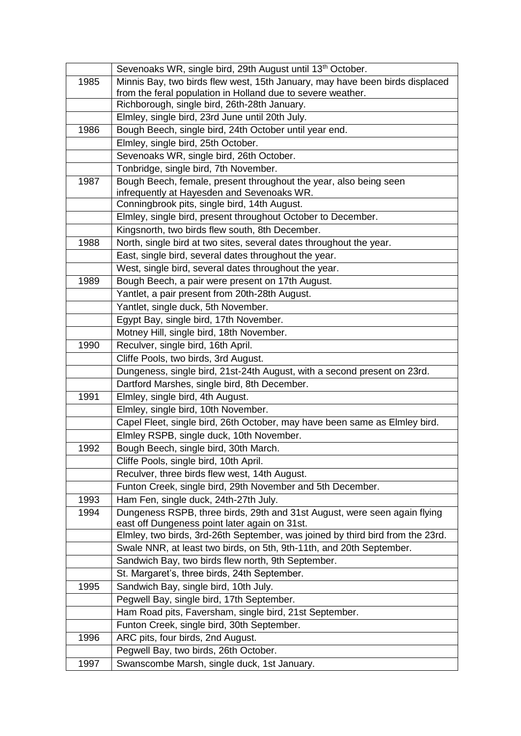|      | Sevenoaks WR, single bird, 29th August until 13th October.                                                               |
|------|--------------------------------------------------------------------------------------------------------------------------|
| 1985 | Minnis Bay, two birds flew west, 15th January, may have been birds displaced                                             |
|      | from the feral population in Holland due to severe weather.                                                              |
|      | Richborough, single bird, 26th-28th January.                                                                             |
|      | Elmley, single bird, 23rd June until 20th July.                                                                          |
| 1986 | Bough Beech, single bird, 24th October until year end.                                                                   |
|      | Elmley, single bird, 25th October.                                                                                       |
|      | Sevenoaks WR, single bird, 26th October.                                                                                 |
|      | Tonbridge, single bird, 7th November.                                                                                    |
| 1987 | Bough Beech, female, present throughout the year, also being seen                                                        |
|      | infrequently at Hayesden and Sevenoaks WR.                                                                               |
|      | Conningbrook pits, single bird, 14th August.                                                                             |
|      | Elmley, single bird, present throughout October to December.                                                             |
|      | Kingsnorth, two birds flew south, 8th December.                                                                          |
| 1988 | North, single bird at two sites, several dates throughout the year.                                                      |
|      | East, single bird, several dates throughout the year.                                                                    |
|      | West, single bird, several dates throughout the year.                                                                    |
| 1989 | Bough Beech, a pair were present on 17th August.<br>Yantlet, a pair present from 20th-28th August.                       |
|      |                                                                                                                          |
|      | Yantlet, single duck, 5th November.                                                                                      |
|      | Egypt Bay, single bird, 17th November.                                                                                   |
| 1990 | Motney Hill, single bird, 18th November.<br>Reculver, single bird, 16th April.                                           |
|      |                                                                                                                          |
|      | Cliffe Pools, two birds, 3rd August.                                                                                     |
|      | Dungeness, single bird, 21st-24th August, with a second present on 23rd.<br>Dartford Marshes, single bird, 8th December. |
| 1991 | Elmley, single bird, 4th August.                                                                                         |
|      | Elmley, single bird, 10th November.                                                                                      |
|      | Capel Fleet, single bird, 26th October, may have been same as Elmley bird.                                               |
|      | Elmley RSPB, single duck, 10th November.                                                                                 |
| 1992 | Bough Beech, single bird, 30th March.                                                                                    |
|      | Cliffe Pools, single bird, 10th April.                                                                                   |
|      | Reculver, three birds flew west, 14th August.                                                                            |
|      | Funton Creek, single bird, 29th November and 5th December.                                                               |
| 1993 | Ham Fen, single duck, 24th-27th July.                                                                                    |
| 1994 | Dungeness RSPB, three birds, 29th and 31st August, were seen again flying                                                |
|      | east off Dungeness point later again on 31st.                                                                            |
|      | Elmley, two birds, 3rd-26th September, was joined by third bird from the 23rd.                                           |
|      | Swale NNR, at least two birds, on 5th, 9th-11th, and 20th September.                                                     |
|      | Sandwich Bay, two birds flew north, 9th September.                                                                       |
|      | St. Margaret's, three birds, 24th September.                                                                             |
| 1995 | Sandwich Bay, single bird, 10th July.                                                                                    |
|      | Pegwell Bay, single bird, 17th September.                                                                                |
|      | Ham Road pits, Faversham, single bird, 21st September.                                                                   |
|      | Funton Creek, single bird, 30th September.                                                                               |
| 1996 | ARC pits, four birds, 2nd August.                                                                                        |
|      | Pegwell Bay, two birds, 26th October.                                                                                    |
| 1997 | Swanscombe Marsh, single duck, 1st January.                                                                              |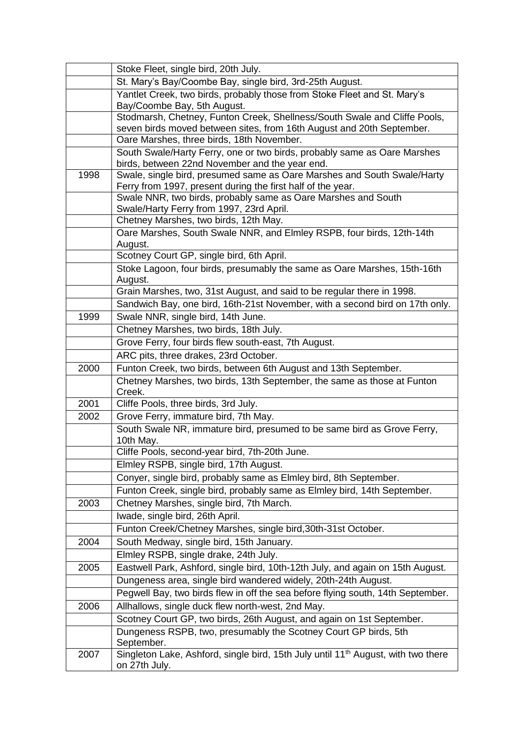|      | Stoke Fleet, single bird, 20th July.                                                                                                               |
|------|----------------------------------------------------------------------------------------------------------------------------------------------------|
|      | St. Mary's Bay/Coombe Bay, single bird, 3rd-25th August.                                                                                           |
|      | Yantlet Creek, two birds, probably those from Stoke Fleet and St. Mary's<br>Bay/Coombe Bay, 5th August.                                            |
|      | Stodmarsh, Chetney, Funton Creek, Shellness/South Swale and Cliffe Pools,<br>seven birds moved between sites, from 16th August and 20th September. |
|      | Oare Marshes, three birds, 18th November.                                                                                                          |
|      | South Swale/Harty Ferry, one or two birds, probably same as Oare Marshes                                                                           |
|      | birds, between 22nd November and the year end.                                                                                                     |
| 1998 | Swale, single bird, presumed same as Oare Marshes and South Swale/Harty<br>Ferry from 1997, present during the first half of the year.             |
|      | Swale NNR, two birds, probably same as Oare Marshes and South<br>Swale/Harty Ferry from 1997, 23rd April.                                          |
|      | Chetney Marshes, two birds, 12th May.                                                                                                              |
|      | Oare Marshes, South Swale NNR, and Elmley RSPB, four birds, 12th-14th<br>August.                                                                   |
|      | Scotney Court GP, single bird, 6th April.                                                                                                          |
|      | Stoke Lagoon, four birds, presumably the same as Oare Marshes, 15th-16th                                                                           |
|      | August.                                                                                                                                            |
|      | Grain Marshes, two, 31st August, and said to be regular there in 1998.                                                                             |
|      | Sandwich Bay, one bird, 16th-21st November, with a second bird on 17th only.                                                                       |
| 1999 | Swale NNR, single bird, 14th June.                                                                                                                 |
|      | Chetney Marshes, two birds, 18th July.                                                                                                             |
|      | Grove Ferry, four birds flew south-east, 7th August.                                                                                               |
|      | ARC pits, three drakes, 23rd October.                                                                                                              |
| 2000 | Funton Creek, two birds, between 6th August and 13th September.                                                                                    |
|      | Chetney Marshes, two birds, 13th September, the same as those at Funton<br>Creek.                                                                  |
| 2001 | Cliffe Pools, three birds, 3rd July.                                                                                                               |
| 2002 | Grove Ferry, immature bird, 7th May.                                                                                                               |
|      | South Swale NR, immature bird, presumed to be same bird as Grove Ferry,<br>10th May.                                                               |
|      | Cliffe Pools, second-year bird, 7th-20th June.                                                                                                     |
|      | Elmley RSPB, single bird, 17th August.                                                                                                             |
|      | Conyer, single bird, probably same as Elmley bird, 8th September.                                                                                  |
|      | Funton Creek, single bird, probably same as Elmley bird, 14th September.                                                                           |
| 2003 | Chetney Marshes, single bird, 7th March.                                                                                                           |
|      | Iwade, single bird, 26th April.                                                                                                                    |
|      | Funton Creek/Chetney Marshes, single bird, 30th-31st October.                                                                                      |
| 2004 | South Medway, single bird, 15th January.                                                                                                           |
|      | Elmley RSPB, single drake, 24th July.                                                                                                              |
| 2005 | Eastwell Park, Ashford, single bird, 10th-12th July, and again on 15th August.                                                                     |
|      | Dungeness area, single bird wandered widely, 20th-24th August.                                                                                     |
|      | Pegwell Bay, two birds flew in off the sea before flying south, 14th September.                                                                    |
| 2006 | Allhallows, single duck flew north-west, 2nd May.                                                                                                  |
|      | Scotney Court GP, two birds, 26th August, and again on 1st September.                                                                              |
|      | Dungeness RSPB, two, presumably the Scotney Court GP birds, 5th<br>September.                                                                      |
| 2007 | Singleton Lake, Ashford, single bird, 15th July until 11 <sup>th</sup> August, with two there<br>on 27th July.                                     |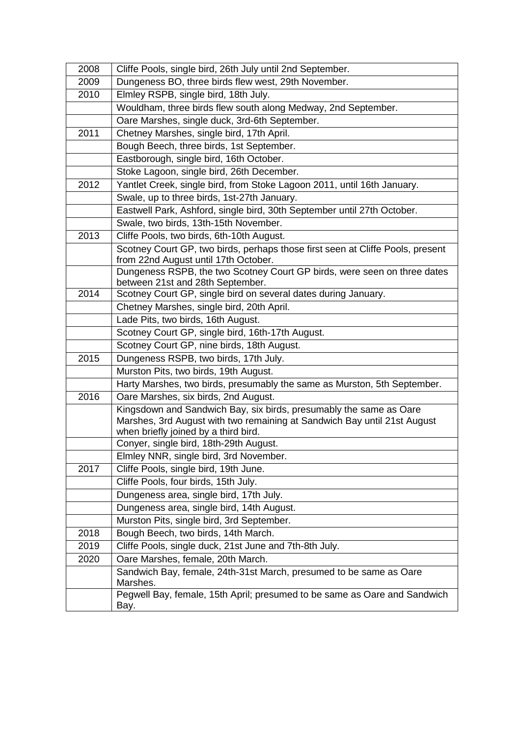| 2008 | Cliffe Pools, single bird, 26th July until 2nd September.                                                    |
|------|--------------------------------------------------------------------------------------------------------------|
| 2009 | Dungeness BO, three birds flew west, 29th November.                                                          |
| 2010 | Elmley RSPB, single bird, 18th July.                                                                         |
|      | Wouldham, three birds flew south along Medway, 2nd September.                                                |
|      | Oare Marshes, single duck, 3rd-6th September.                                                                |
| 2011 | Chetney Marshes, single bird, 17th April.                                                                    |
|      | Bough Beech, three birds, 1st September.                                                                     |
|      | Eastborough, single bird, 16th October.                                                                      |
|      | Stoke Lagoon, single bird, 26th December.                                                                    |
| 2012 | Yantlet Creek, single bird, from Stoke Lagoon 2011, until 16th January.                                      |
|      | Swale, up to three birds, 1st-27th January.                                                                  |
|      | Eastwell Park, Ashford, single bird, 30th September until 27th October.                                      |
|      | Swale, two birds, 13th-15th November.                                                                        |
| 2013 | Cliffe Pools, two birds, 6th-10th August.                                                                    |
|      | Scotney Court GP, two birds, perhaps those first seen at Cliffe Pools, present                               |
|      | from 22nd August until 17th October.                                                                         |
|      | Dungeness RSPB, the two Scotney Court GP birds, were seen on three dates<br>between 21st and 28th September. |
| 2014 | Scotney Court GP, single bird on several dates during January.                                               |
|      | Chetney Marshes, single bird, 20th April.                                                                    |
|      | Lade Pits, two birds, 16th August.                                                                           |
|      | Scotney Court GP, single bird, 16th-17th August.                                                             |
|      | Scotney Court GP, nine birds, 18th August.                                                                   |
| 2015 | Dungeness RSPB, two birds, 17th July.                                                                        |
|      | Murston Pits, two birds, 19th August.                                                                        |
|      | Harty Marshes, two birds, presumably the same as Murston, 5th September.                                     |
| 2016 | Oare Marshes, six birds, 2nd August.                                                                         |
|      | Kingsdown and Sandwich Bay, six birds, presumably the same as Oare                                           |
|      | Marshes, 3rd August with two remaining at Sandwich Bay until 21st August                                     |
|      | when briefly joined by a third bird.                                                                         |
|      | Conyer, single bird, 18th-29th August.                                                                       |
|      | Elmley NNR, single bird, 3rd November.                                                                       |
| 2017 | Cliffe Pools, single bird, 19th June.                                                                        |
|      | Cliffe Pools, four birds, 15th July.                                                                         |
|      | Dungeness area, single bird, 17th July.                                                                      |
|      | Dungeness area, single bird, 14th August.                                                                    |
|      | Murston Pits, single bird, 3rd September.                                                                    |
| 2018 | Bough Beech, two birds, 14th March.                                                                          |
| 2019 | Cliffe Pools, single duck, 21st June and 7th-8th July.                                                       |
| 2020 | Oare Marshes, female, 20th March.                                                                            |
|      | Sandwich Bay, female, 24th-31st March, presumed to be same as Oare<br>Marshes.                               |
|      | Pegwell Bay, female, 15th April; presumed to be same as Oare and Sandwich                                    |
|      | Bay.                                                                                                         |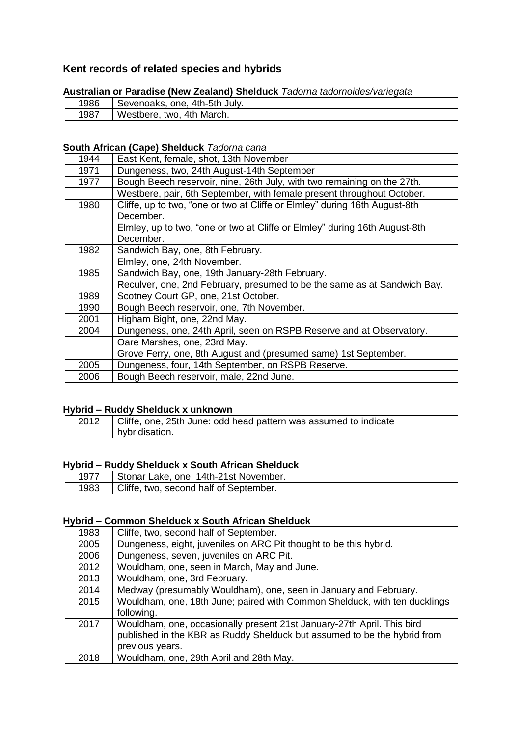# **Kent records of related species and hybrids**

| Australian or Paradise (New Zealand) Shelduck Tagorna tagornoldes/variegata |                               |
|-----------------------------------------------------------------------------|-------------------------------|
| 1986                                                                        | Sevenoaks, one, 4th-5th July. |
| 1987                                                                        | Westbere, two, 4th March.     |

# **Australian or Paradise (New Zealand) Shelduck** *Tadorna tadornoides/variegata*

## **South African (Cape) Shelduck** *Tadorna cana*

| 1944 | East Kent, female, shot, 13th November                                     |
|------|----------------------------------------------------------------------------|
| 1971 | Dungeness, two, 24th August-14th September                                 |
| 1977 | Bough Beech reservoir, nine, 26th July, with two remaining on the 27th.    |
|      | Westbere, pair, 6th September, with female present throughout October.     |
| 1980 | Cliffe, up to two, "one or two at Cliffe or Elmley" during 16th August-8th |
|      | December.                                                                  |
|      | Elmley, up to two, "one or two at Cliffe or Elmley" during 16th August-8th |
|      | December.                                                                  |
| 1982 | Sandwich Bay, one, 8th February.                                           |
|      | Elmley, one, 24th November.                                                |
| 1985 | Sandwich Bay, one, 19th January-28th February.                             |
|      | Reculver, one, 2nd February, presumed to be the same as at Sandwich Bay.   |
| 1989 | Scotney Court GP, one, 21st October.                                       |
| 1990 | Bough Beech reservoir, one, 7th November.                                  |
| 2001 | Higham Bight, one, 22nd May.                                               |
| 2004 | Dungeness, one, 24th April, seen on RSPB Reserve and at Observatory.       |
|      | Oare Marshes, one, 23rd May.                                               |
|      | Grove Ferry, one, 8th August and (presumed same) 1st September.            |
| 2005 | Dungeness, four, 14th September, on RSPB Reserve.                          |
| 2006 | Bough Beech reservoir, male, 22nd June.                                    |
|      |                                                                            |

# **Hybrid – Ruddy Shelduck x unknown**

| 2012 | Cliffe, one, 25th June: odd head pattern was assumed to indicate |
|------|------------------------------------------------------------------|
|      | hybridisation.                                                   |

## **Hybrid – Ruddy Shelduck x South African Shelduck**

| 1977 | Stonar Lake, one, 14th-21st November.  |
|------|----------------------------------------|
| 1983 | Cliffe, two, second half of September. |
|      |                                        |

#### **Hybrid – Common Shelduck x South African Shelduck**

| 1983 | Cliffe, two, second half of September.                                    |
|------|---------------------------------------------------------------------------|
| 2005 | Dungeness, eight, juveniles on ARC Pit thought to be this hybrid.         |
| 2006 | Dungeness, seven, juveniles on ARC Pit.                                   |
| 2012 | Wouldham, one, seen in March, May and June.                               |
| 2013 | Wouldham, one, 3rd February.                                              |
| 2014 | Medway (presumably Wouldham), one, seen in January and February.          |
| 2015 | Wouldham, one, 18th June; paired with Common Shelduck, with ten ducklings |
|      | following.                                                                |
| 2017 | Wouldham, one, occasionally present 21st January-27th April. This bird    |
|      | published in the KBR as Ruddy Shelduck but assumed to be the hybrid from  |
|      | previous years.                                                           |
| 2018 | Wouldham, one, 29th April and 28th May.                                   |